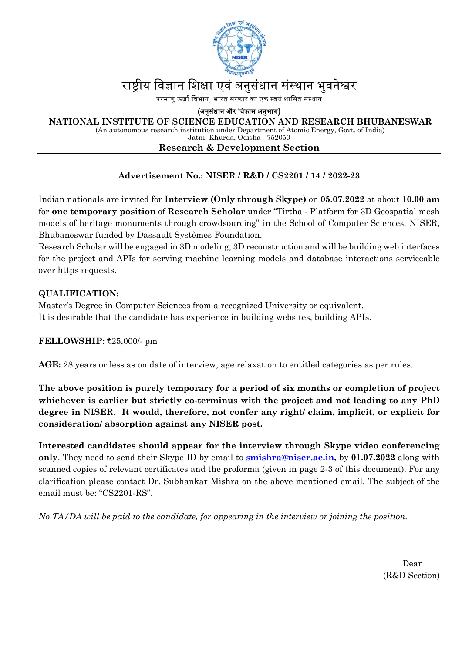

# राष्ट्रीय विज्ञान शिक्षा एवं अनुसंधान संस्थान भुवनेश्वर

परमाणु ऊर्जा विभाग, भारत सरकार का एक स्वयं शासित संस्थान

(अनुसंधान और विकास अनुभाग)

 **NATIONAL INSTITUTE OF SCIENCE EDUCATION AND RESEARCH BHUBANESWAR** 

(An autonomous research institution under Department of Atomic Energy, Govt. of India)

Jatni, Khurda, Odisha - 752050

#### **Research & Development Section**

# **Advertisement No.: NISER / R&D / CS2201 / 14 / 2022-23**

Indian nationals are invited for **Interview (Only through Skype)** on **05.07.2022** at about **10.00 am** for **one temporary position** of **Research Scholar** under "Tirtha - Platform for 3D Geospatial mesh models of heritage monuments through crowdsourcing" in the School of Computer Sciences, NISER, Bhubaneswar funded by Dassault Systèmes Foundation.

Research Scholar will be engaged in 3D modeling, 3D reconstruction and will be building web interfaces for the project and APIs for serving machine learning models and database interactions serviceable over https requests.

### **QUALIFICATION:**

Master's Degree in Computer Sciences from a recognized University or equivalent. It is desirable that the candidate has experience in building websites, building APIs.

### **FELLOWSHIP: ₹25,000/- pm**

**AGE:** 28 years or less as on date of interview, age relaxation to entitled categories as per rules.

**The above position is purely temporary for a period of six months or completion of project whichever is earlier but strictly co-terminus with the project and not leading to any PhD degree in NISER. It would, therefore, not confer any right/ claim, implicit, or explicit for consideration/ absorption against any NISER post.** 

**Interested candidates should appear for the interview through Skype video conferencing only**. They need to send their Skype ID by email to **smishra@niser.ac.in,** by **01.07.2022** along with scanned copies of relevant certificates and the proforma (given in page 2-3 of this document). For any clarification please contact Dr. Subhankar Mishra on the above mentioned email. The subject of the email must be: "CS2201-RS".

*No TA/DA will be paid to the candidate, for appearing in the interview or joining the position.* 

Dean (R&D Section)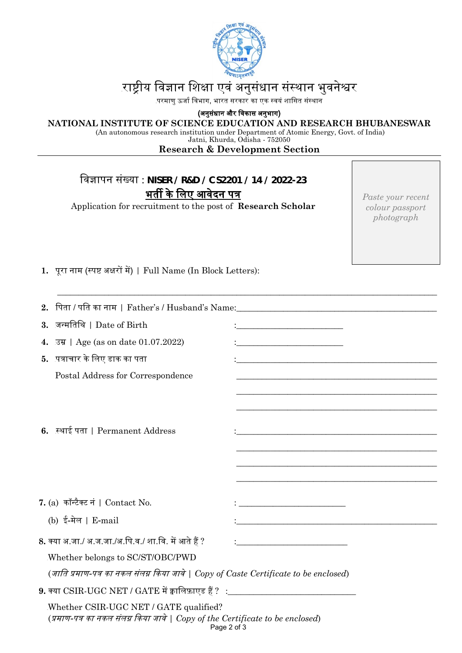

# राष्ट्रीय विज्ञान शिक्षा एवं अनुसंधान संस्थान भुवनेश्वर

.<br>परमाणु ऊर्जा विभाग, भारत सरकार का एक स्वयं शासित संस्थान

(अनुसंधान और िवकास अनुभाग)

#### **NATIONAL INSTITUTE OF SCIENCE EDUCATION AND RESEARCH BHUBANESWAR**

(An autonomous research institution under Department of Atomic Energy, Govt. of India)

Jatni, Khurda, Odisha - 752050

# **Research & Development Section**

\_\_\_\_\_\_\_\_\_\_\_\_\_\_\_\_\_\_\_\_\_\_\_\_\_\_\_\_\_\_\_\_\_\_\_\_\_\_\_\_\_\_\_\_\_\_\_\_\_\_\_\_\_\_\_\_\_\_\_\_\_\_\_\_\_\_\_\_\_\_\_\_\_\_\_\_\_\_\_\_\_\_\_\_\_\_\_\_\_

# िवज्ञापन संख्या : **NISER / R&D / CS2201 / 14 / 2022-23**  भर्ती के लिए आवेदन पत्र

Application for recruitment to the post of **Research Scholar**

*Paste your recent colour passport photograph*

1. पुरा नाम (स्पष्ट अक्षरों में) | Full Name (In Block Letters):

|                                                                                                                                         | 2. पिता / पति का नाम   Father's / Husband's Name:________________________________ |                                                                                                                      |  |  |  |
|-----------------------------------------------------------------------------------------------------------------------------------------|-----------------------------------------------------------------------------------|----------------------------------------------------------------------------------------------------------------------|--|--|--|
|                                                                                                                                         | 3. जन्मतिथि   Date of Birth                                                       |                                                                                                                      |  |  |  |
|                                                                                                                                         | 4. उम्र   Age (as on date 01.07.2022)                                             |                                                                                                                      |  |  |  |
|                                                                                                                                         | 5. पत्राचार के लिए डाक का पता                                                     | <u> 1989 - Johann Stoff, amerikansk politiker (d. 1989)</u>                                                          |  |  |  |
|                                                                                                                                         | Postal Address for Correspondence                                                 |                                                                                                                      |  |  |  |
|                                                                                                                                         |                                                                                   |                                                                                                                      |  |  |  |
|                                                                                                                                         |                                                                                   |                                                                                                                      |  |  |  |
|                                                                                                                                         | 6. स्थाई पता   Permanent Address                                                  | <u> 1989 - Johann Stoff, amerikansk politiker (* 1908)</u>                                                           |  |  |  |
|                                                                                                                                         |                                                                                   |                                                                                                                      |  |  |  |
|                                                                                                                                         |                                                                                   |                                                                                                                      |  |  |  |
|                                                                                                                                         |                                                                                   |                                                                                                                      |  |  |  |
|                                                                                                                                         | 7. (a)  कॉन्टैक्ट नं   Contact No.                                                | <u> 1989 - Johann Barn, mars eta bainar eta idazlea (</u>                                                            |  |  |  |
|                                                                                                                                         | (b) ई-मेल   E-mail                                                                | <u> 1989 - Johann John Stein, markin fan it ferstjer fan it ferstjer fan it ferstjer fan it ferstjer fan it fers</u> |  |  |  |
|                                                                                                                                         | 8. क्या अ.जा./ अ.ज.जा./अ.पि.व./ शा.वि. में आते हैं ?                              | <u> 1980 - Johann Barbara, martin di</u>                                                                             |  |  |  |
|                                                                                                                                         | Whether belongs to SC/ST/OBC/PWD                                                  |                                                                                                                      |  |  |  |
| (जाति प्रमाण-पत्र का नकल संलग्न किया जावे   Copy of Caste Certificate to be enclosed)                                                   |                                                                                   |                                                                                                                      |  |  |  |
| $9.$ क्या $\mathrm{CSIR\text{-}UGC\text{}\,NET}$ / $\mathrm{GATE}$ में क्वालिफ़ाएड हैं ? $\pm$ ______________________________           |                                                                                   |                                                                                                                      |  |  |  |
| Whether CSIR-UGC NET / GATE qualified?<br>(प्रमाण-पत्र का नकल संलग्न किया जावे   Copy of the Certificate to be enclosed)<br>Page 2 of 3 |                                                                                   |                                                                                                                      |  |  |  |